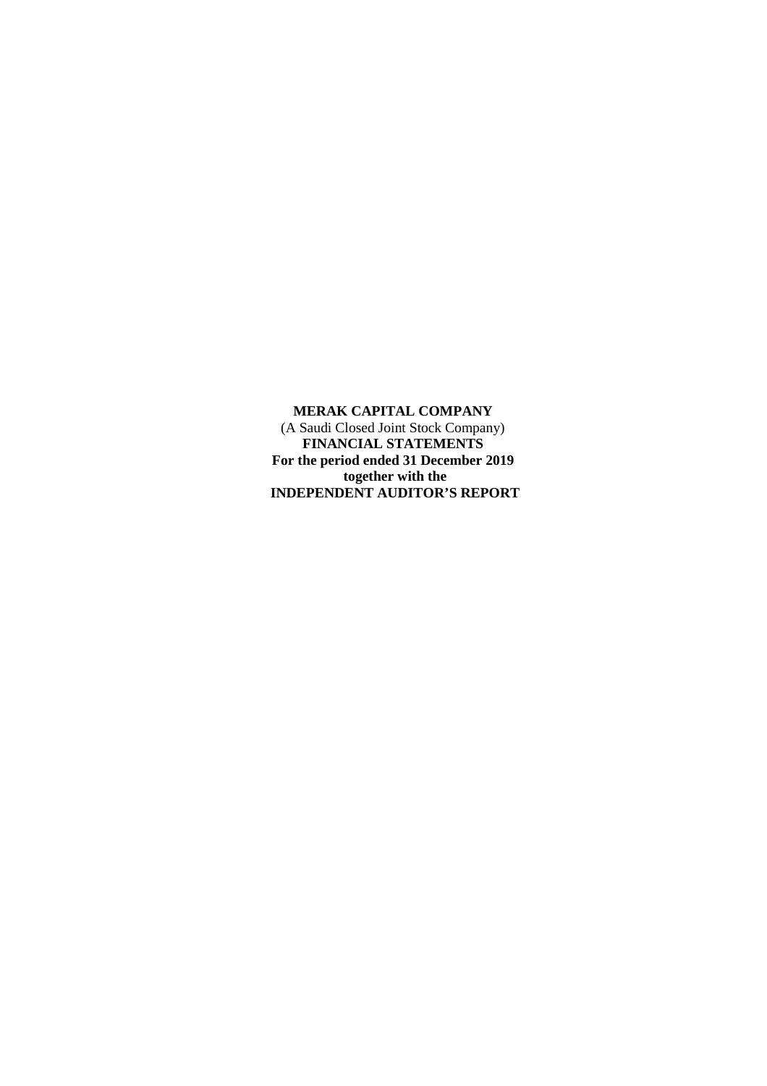**MERAK CAPITAL COMPANY** (A Saudi Closed Joint Stock Company) **FINANCIAL STATEMENTS For the period ended 31 December 2019 together with the INDEPENDENT AUDITOR'S REPORT**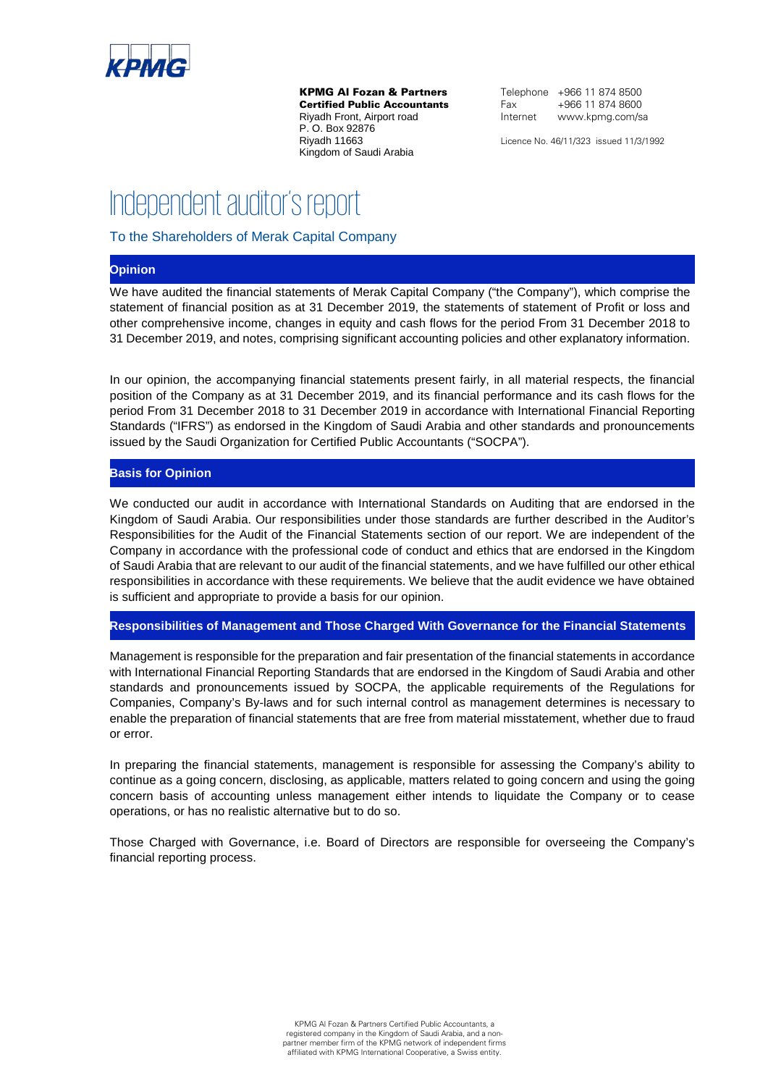

 KPMG Al Fozan & Partners Certified Public Accountants Riyadh Front, Airport road P. O. Box 92876 Riyadh 11663

Kingdom of Saudi Arabia

Telephone +966 11 874 8500 Fax +966 11 874 8600 Internet www.kpmg.com/sa

Licence No. 46/11/323 issued 11/3/1992

# Independent auditor's report

To the Shareholders of Merak Capital Company

## **Opinion**

We have audited the financial statements of Merak Capital Company ("the Company"), which comprise the statement of financial position as at 31 December 2019, the statements of statement of Profit or loss and other comprehensive income, changes in equity and cash flows for the period From 31 December 2018 to 31 December 2019, and notes, comprising significant accounting policies and other explanatory information.

In our opinion, the accompanying financial statements present fairly, in all material respects, the financial position of the Company as at 31 December 2019, and its financial performance and its cash flows for the period From 31 December 2018 to 31 December 2019 in accordance with International Financial Reporting Standards ("IFRS") as endorsed in the Kingdom of Saudi Arabia and other standards and pronouncements issued by the Saudi Organization for Certified Public Accountants ("SOCPA").

#### **Basis for Opinion**

We conducted our audit in accordance with International Standards on Auditing that are endorsed in the Kingdom of Saudi Arabia. Our responsibilities under those standards are further described in the Auditor's Responsibilities for the Audit of the Financial Statements section of our report. We are independent of the Company in accordance with the professional code of conduct and ethics that are endorsed in the Kingdom of Saudi Arabia that are relevant to our audit of the financial statements, and we have fulfilled our other ethical responsibilities in accordance with these requirements. We believe that the audit evidence we have obtained is sufficient and appropriate to provide a basis for our opinion.

#### **Responsibilities of Management and Those Charged With Governance for the Financial Statements**

Management is responsible for the preparation and fair presentation of the financial statements in accordance with International Financial Reporting Standards that are endorsed in the Kingdom of Saudi Arabia and other standards and pronouncements issued by SOCPA, the applicable requirements of the Regulations for Companies, Company's By-laws and for such internal control as management determines is necessary to enable the preparation of financial statements that are free from material misstatement, whether due to fraud or error.

In preparing the financial statements, management is responsible for assessing the Company's ability to continue as a going concern, disclosing, as applicable, matters related to going concern and using the going concern basis of accounting unless management either intends to liquidate the Company or to cease operations, or has no realistic alternative but to do so.

Those Charged with Governance, i.e. Board of Directors are responsible for overseeing the Company's financial reporting process.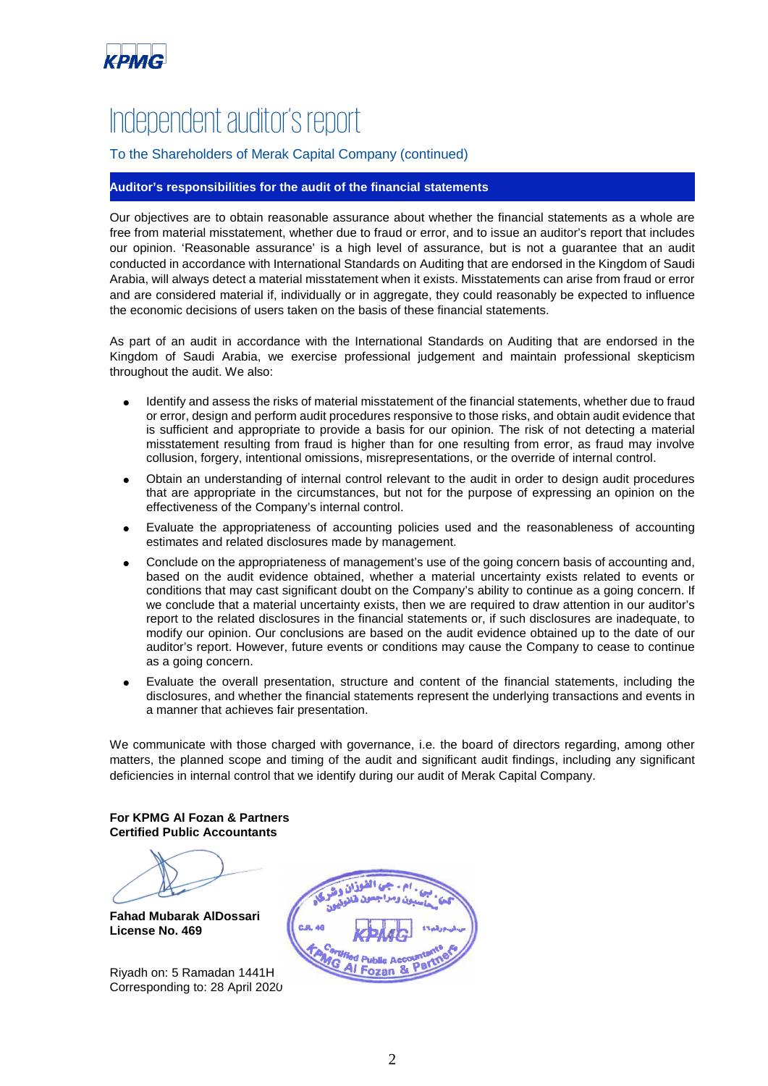

# Independent auditor's report

To the Shareholders of Merak Capital Company (continued)

#### **Auditor's responsibilities for the audit of the financial statements**

Our objectives are to obtain reasonable assurance about whether the financial statements as a whole are free from material misstatement, whether due to fraud or error, and to issue an auditor's report that includes our opinion. 'Reasonable assurance' is a high level of assurance, but is not a guarantee that an audit conducted in accordance with International Standards on Auditing that are endorsed in the Kingdom of Saudi Arabia, will always detect a material misstatement when it exists. Misstatements can arise from fraud or error and are considered material if, individually or in aggregate, they could reasonably be expected to influence the economic decisions of users taken on the basis of these financial statements.

As part of an audit in accordance with the International Standards on Auditing that are endorsed in the Kingdom of Saudi Arabia, we exercise professional judgement and maintain professional skepticism throughout the audit. We also:

- Identify and assess the risks of material misstatement of the financial statements, whether due to fraud or error, design and perform audit procedures responsive to those risks, and obtain audit evidence that is sufficient and appropriate to provide a basis for our opinion. The risk of not detecting a material misstatement resulting from fraud is higher than for one resulting from error, as fraud may involve collusion, forgery, intentional omissions, misrepresentations, or the override of internal control.
- Obtain an understanding of internal control relevant to the audit in order to design audit procedures that are appropriate in the circumstances, but not for the purpose of expressing an opinion on the effectiveness of the Company's internal control.
- Evaluate the appropriateness of accounting policies used and the reasonableness of accounting estimates and related disclosures made by management.
- Conclude on the appropriateness of management's use of the going concern basis of accounting and, based on the audit evidence obtained, whether a material uncertainty exists related to events or conditions that may cast significant doubt on the Company's ability to continue as a going concern. If we conclude that a material uncertainty exists, then we are required to draw attention in our auditor's report to the related disclosures in the financial statements or, if such disclosures are inadequate, to modify our opinion. Our conclusions are based on the audit evidence obtained up to the date of our auditor's report. However, future events or conditions may cause the Company to cease to continue as a going concern.
- Evaluate the overall presentation, structure and content of the financial statements, including the disclosures, and whether the financial statements represent the underlying transactions and events in a manner that achieves fair presentation.

We communicate with those charged with governance, i.e. the board of directors regarding, among other matters, the planned scope and timing of the audit and significant audit findings, including any significant deficiencies in internal control that we identify during our audit of Merak Capital Company.

**For KPMG Al Fozan & Partners Certified Public Accountants**

**Fahad Mubarak AlDossari License No. 469** 

Riyadh on: 5 Ramadan 1441H Corresponding to: 28 April 2020

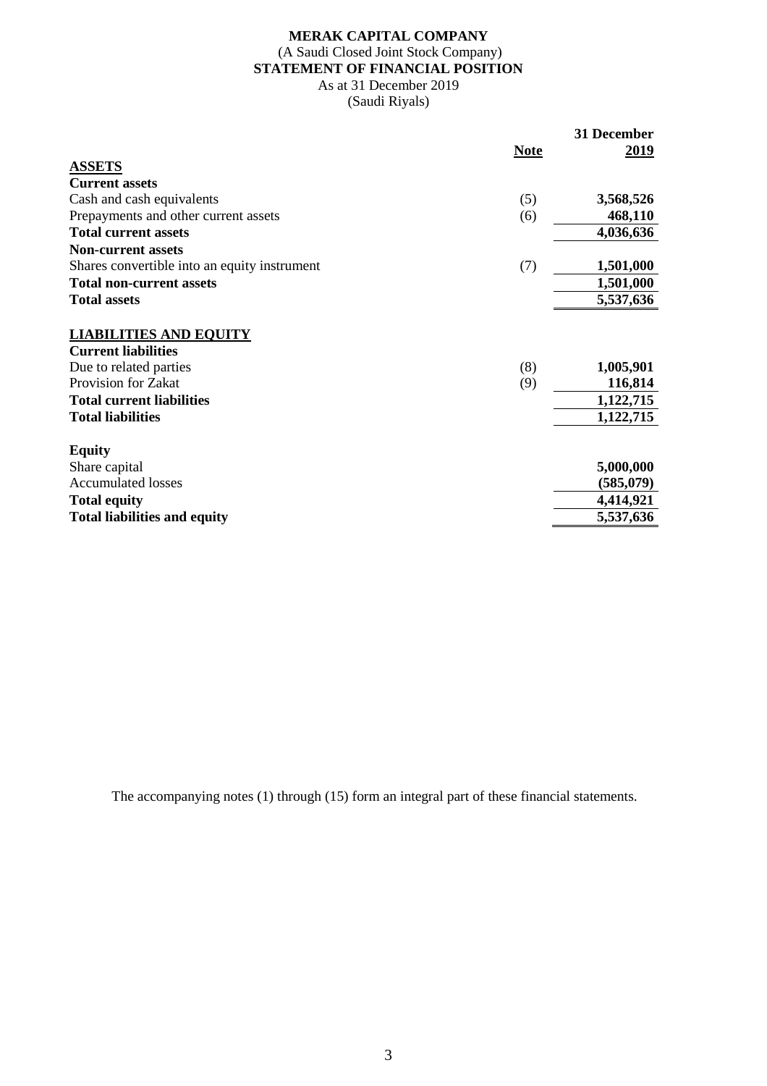## **MERAK CAPITAL COMPANY** (A Saudi Closed Joint Stock Company) **STATEMENT OF FINANCIAL POSITION** As at 31 December 2019

(Saudi Riyals)

|                                              | <b>Note</b> | 31 December<br><u>2019</u> |
|----------------------------------------------|-------------|----------------------------|
| <b>ASSETS</b>                                |             |                            |
| <b>Current assets</b>                        |             |                            |
| Cash and cash equivalents                    | (5)         | 3,568,526                  |
| Prepayments and other current assets         | (6)         | 468,110                    |
| <b>Total current assets</b>                  |             | 4,036,636                  |
| <b>Non-current assets</b>                    |             |                            |
| Shares convertible into an equity instrument | (7)         | 1,501,000                  |
| <b>Total non-current assets</b>              |             | 1,501,000                  |
| <b>Total assets</b>                          |             | 5,537,636                  |
| <b>LIABILITIES AND EQUITY</b>                |             |                            |
| <b>Current liabilities</b>                   |             |                            |
| Due to related parties                       | (8)         | 1,005,901                  |
| Provision for Zakat                          | (9)         | 116,814                    |
| <b>Total current liabilities</b>             |             | 1,122,715                  |
| <b>Total liabilities</b>                     |             | 1,122,715                  |
| <b>Equity</b>                                |             |                            |
| Share capital                                |             | 5,000,000                  |
| <b>Accumulated losses</b>                    |             | (585,079)                  |
| <b>Total equity</b>                          |             | 4,414,921                  |
| <b>Total liabilities and equity</b>          |             | 5,537,636                  |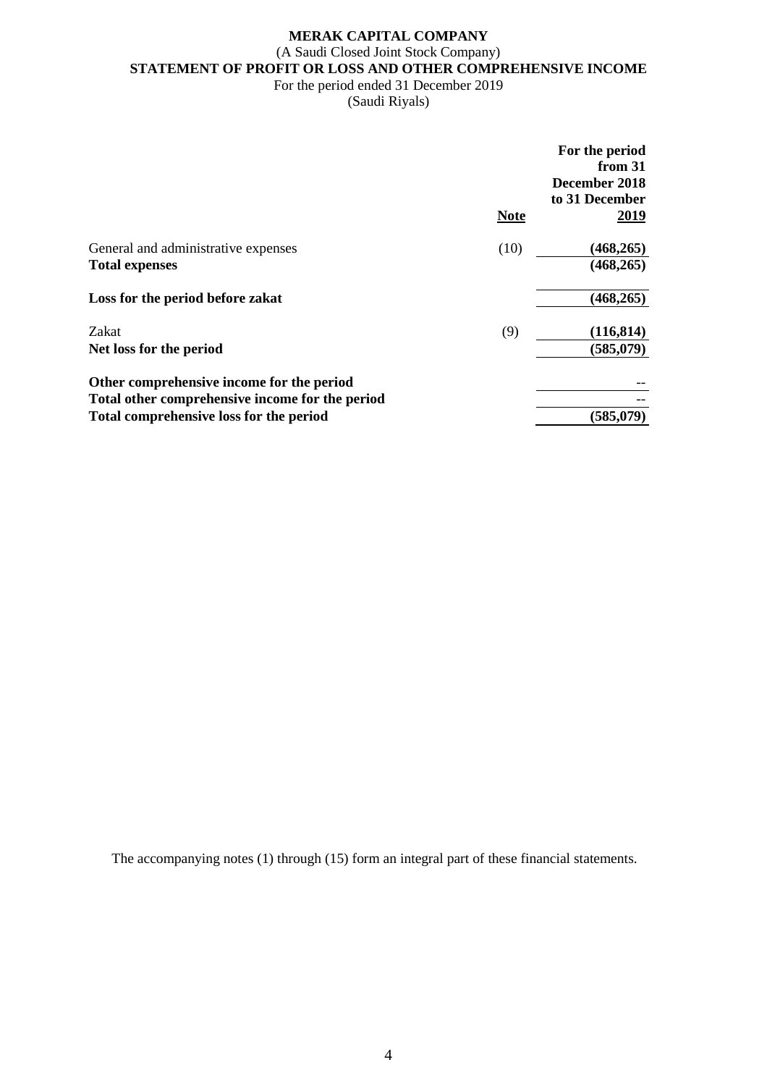# **MERAK CAPITAL COMPANY** (A Saudi Closed Joint Stock Company) **STATEMENT OF PROFIT OR LOSS AND OTHER COMPREHENSIVE INCOME**

For the period ended 31 December 2019

(Saudi Riyals)

|                                                 | <b>Note</b> | For the period<br>from 31<br>December 2018<br>to 31 December<br>2019 |
|-------------------------------------------------|-------------|----------------------------------------------------------------------|
| General and administrative expenses             | (10)        | (468, 265)                                                           |
| <b>Total expenses</b>                           |             | (468, 265)                                                           |
| Loss for the period before zakat                |             | (468, 265)                                                           |
| Zakat                                           | (9)         | (116, 814)                                                           |
| Net loss for the period                         |             | (585, 079)                                                           |
| Other comprehensive income for the period       |             |                                                                      |
| Total other comprehensive income for the period |             |                                                                      |
| Total comprehensive loss for the period         |             | (585,079)                                                            |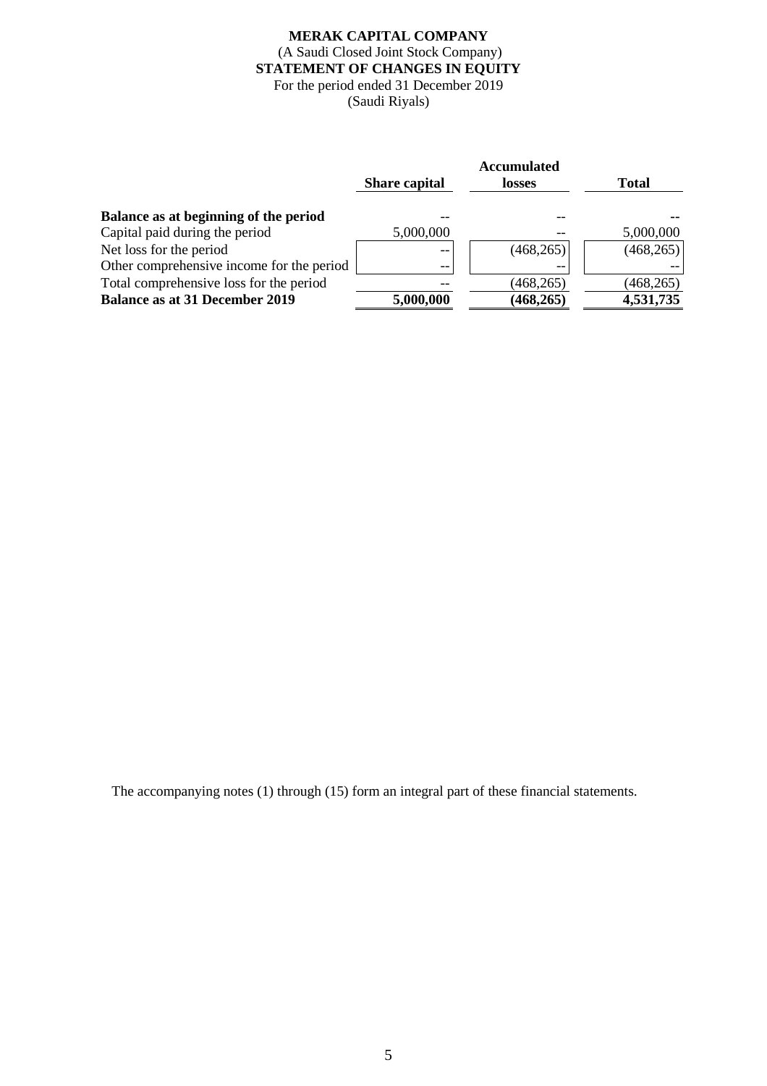## **MERAK CAPITAL COMPANY** (A Saudi Closed Joint Stock Company) **STATEMENT OF CHANGES IN EQUITY**  For the period ended 31 December 2019

(Saudi Riyals)

|                                           | <b>Share capital</b> | <b>Accumulated</b><br><b>losses</b> | <b>Total</b> |
|-------------------------------------------|----------------------|-------------------------------------|--------------|
| Balance as at beginning of the period     |                      |                                     |              |
| Capital paid during the period            | 5,000,000            |                                     | 5,000,000    |
| Net loss for the period                   | --                   | (468, 265)                          | (468, 265)   |
| Other comprehensive income for the period | --                   |                                     |              |
| Total comprehensive loss for the period   |                      | (468, 265)                          | (468, 265)   |
| <b>Balance as at 31 December 2019</b>     | 5,000,000            | (468, 265)                          | 4,531,735    |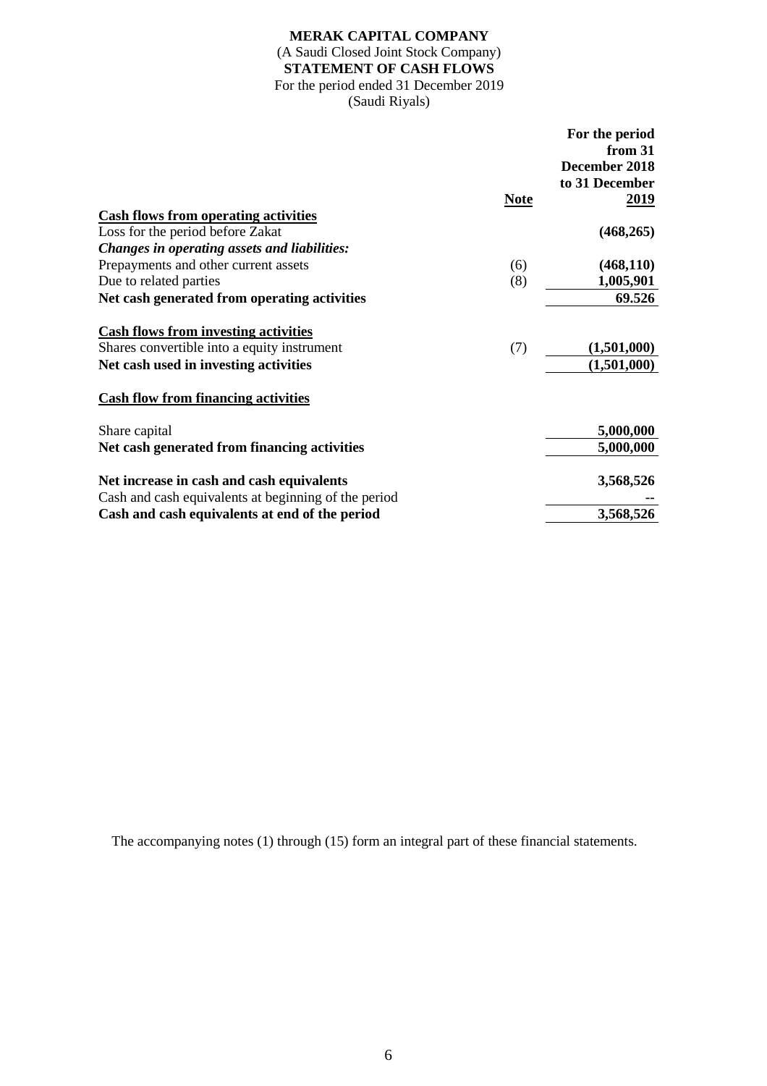## **MERAK CAPITAL COMPANY** (A Saudi Closed Joint Stock Company) **STATEMENT OF CASH FLOWS**

For the period ended 31 December 2019

(Saudi Riyals)

|                                                      |             | For the period |
|------------------------------------------------------|-------------|----------------|
|                                                      |             | from 31        |
|                                                      |             | December 2018  |
|                                                      |             | to 31 December |
|                                                      | <b>Note</b> | <u>2019</u>    |
|                                                      |             |                |
| <b>Cash flows from operating activities</b>          |             |                |
| Loss for the period before Zakat                     |             | (468, 265)     |
| Changes in operating assets and liabilities:         |             |                |
| Prepayments and other current assets                 | (6)         | (468, 110)     |
| Due to related parties                               | (8)         | 1,005,901      |
| Net cash generated from operating activities         |             | 69.526         |
| <b>Cash flows from investing activities</b>          |             |                |
| Shares convertible into a equity instrument          | (7)         | (1,501,000)    |
| Net cash used in investing activities                |             | (1,501,000)    |
| <b>Cash flow from financing activities</b>           |             |                |
| Share capital                                        |             | 5,000,000      |
| Net cash generated from financing activities         |             | 5,000,000      |
| Net increase in cash and cash equivalents            |             | 3,568,526      |
| Cash and cash equivalents at beginning of the period |             |                |
| Cash and cash equivalents at end of the period       |             | 3,568,526      |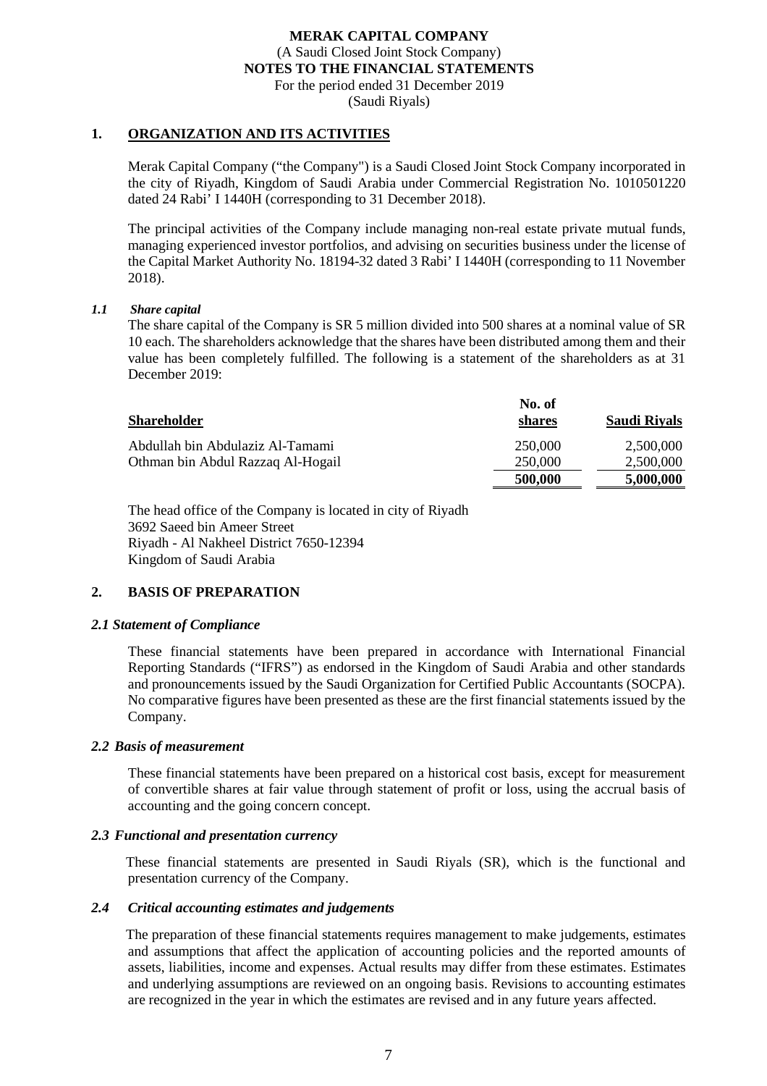For the period ended 31 December 2019

(Saudi Riyals)

#### **1. ORGANIZATION AND ITS ACTIVITIES**

Merak Capital Company ("the Company") is a Saudi Closed Joint Stock Company incorporated in the city of Riyadh, Kingdom of Saudi Arabia under Commercial Registration No. 1010501220 dated 24 Rabi' I 1440H (corresponding to 31 December 2018).

The principal activities of the Company include managing non-real estate private mutual funds, managing experienced investor portfolios, and advising on securities business under the license of the Capital Market Authority No. 18194-32 dated 3 Rabi' I 1440H (corresponding to 11 November 2018).

#### *1.1 Share capital*

The share capital of the Company is SR 5 million divided into 500 shares at a nominal value of SR 10 each. The shareholders acknowledge that the shares have been distributed among them and their value has been completely fulfilled. The following is a statement of the shareholders as at 31 December 2019:

| <b>Shareholder</b>                | No. of<br>shares | <b>Saudi Riyals</b> |
|-----------------------------------|------------------|---------------------|
| Abdullah bin Abdulaziz Al-Tamami  | 250,000          | 2,500,000           |
| Othman bin Abdul Razzaq Al-Hogail | 250,000          | 2,500,000           |
|                                   | 500,000          | 5,000,000           |

The head office of the Company is located in city of Riyadh 3692 Saeed bin Ameer Street Riyadh - Al Nakheel District 7650-12394 Kingdom of Saudi Arabia

## **2. BASIS OF PREPARATION**

#### *2.1 Statement of Compliance*

These financial statements have been prepared in accordance with International Financial Reporting Standards ("IFRS") as endorsed in the Kingdom of Saudi Arabia and other standards and pronouncements issued by the Saudi Organization for Certified Public Accountants (SOCPA). No comparative figures have been presented as these are the first financial statements issued by the Company.

#### *2.2 Basis of measurement*

These financial statements have been prepared on a historical cost basis, except for measurement of convertible shares at fair value through statement of profit or loss, using the accrual basis of accounting and the going concern concept.

#### *2.3 Functional and presentation currency*

These financial statements are presented in Saudi Riyals (SR), which is the functional and presentation currency of the Company.

#### *2.4 Critical accounting estimates and judgements*

The preparation of these financial statements requires management to make judgements, estimates and assumptions that affect the application of accounting policies and the reported amounts of assets, liabilities, income and expenses. Actual results may differ from these estimates. Estimates and underlying assumptions are reviewed on an ongoing basis. Revisions to accounting estimates are recognized in the year in which the estimates are revised and in any future years affected.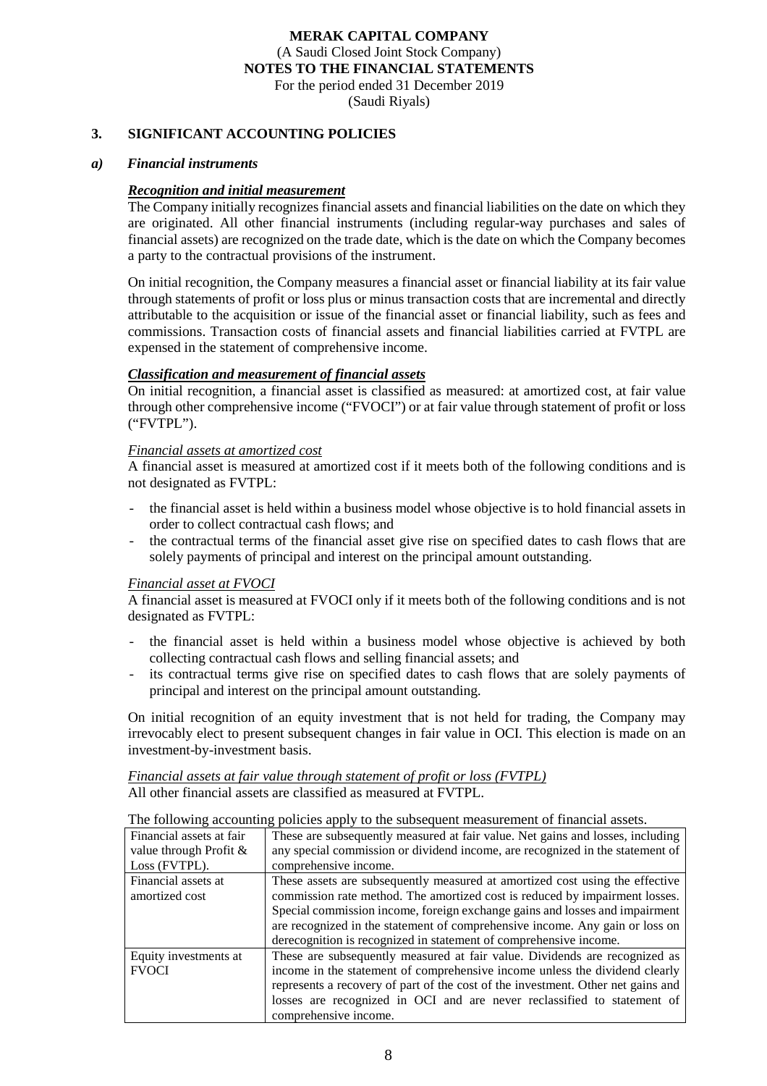For the period ended 31 December 2019 (Saudi Riyals)

#### **3. SIGNIFICANT ACCOUNTING POLICIES**

#### *a) Financial instruments*

#### *Recognition and initial measurement*

The Company initially recognizes financial assets and financial liabilities on the date on which they are originated. All other financial instruments (including regular-way purchases and sales of financial assets) are recognized on the trade date, which is the date on which the Company becomes a party to the contractual provisions of the instrument.

On initial recognition, the Company measures a financial asset or financial liability at its fair value through statements of profit or loss plus or minus transaction costs that are incremental and directly attributable to the acquisition or issue of the financial asset or financial liability, such as fees and commissions. Transaction costs of financial assets and financial liabilities carried at FVTPL are expensed in the statement of comprehensive income.

## *Classification and measurement of financial assets*

On initial recognition, a financial asset is classified as measured: at amortized cost, at fair value through other comprehensive income ("FVOCI") or at fair value through statement of profit or loss ("FVTPL").

#### *Financial assets at amortized cost*

A financial asset is measured at amortized cost if it meets both of the following conditions and is not designated as FVTPL:

- the financial asset is held within a business model whose objective is to hold financial assets in order to collect contractual cash flows; and
- the contractual terms of the financial asset give rise on specified dates to cash flows that are solely payments of principal and interest on the principal amount outstanding.

#### *Financial asset at FVOCI*

A financial asset is measured at FVOCI only if it meets both of the following conditions and is not designated as FVTPL:

- the financial asset is held within a business model whose objective is achieved by both collecting contractual cash flows and selling financial assets; and
- its contractual terms give rise on specified dates to cash flows that are solely payments of principal and interest on the principal amount outstanding.

On initial recognition of an equity investment that is not held for trading, the Company may irrevocably elect to present subsequent changes in fair value in OCI. This election is made on an investment-by-investment basis.

*Financial assets at fair value through statement of profit or loss (FVTPL)* All other financial assets are classified as measured at FVTPL.

| Financial assets at fair<br>value through Profit & | These are subsequently measured at fair value. Net gains and losses, including<br>any special commission or dividend income, are recognized in the statement of |
|----------------------------------------------------|-----------------------------------------------------------------------------------------------------------------------------------------------------------------|
| Loss (FVTPL).                                      | comprehensive income.                                                                                                                                           |
| Financial assets at                                | These assets are subsequently measured at amortized cost using the effective                                                                                    |
| amortized cost                                     | commission rate method. The amortized cost is reduced by impairment losses.                                                                                     |
|                                                    | Special commission income, foreign exchange gains and losses and impairment                                                                                     |
|                                                    | are recognized in the statement of comprehensive income. Any gain or loss on                                                                                    |
|                                                    | derecognition is recognized in statement of comprehensive income.                                                                                               |
| Equity investments at                              | These are subsequently measured at fair value. Dividends are recognized as                                                                                      |
| <b>FVOCI</b>                                       | income in the statement of comprehensive income unless the dividend clearly                                                                                     |
|                                                    | represents a recovery of part of the cost of the investment. Other net gains and                                                                                |
|                                                    | losses are recognized in OCI and are never reclassified to statement of                                                                                         |
|                                                    | comprehensive income.                                                                                                                                           |

The following accounting policies apply to the subsequent measurement of financial assets.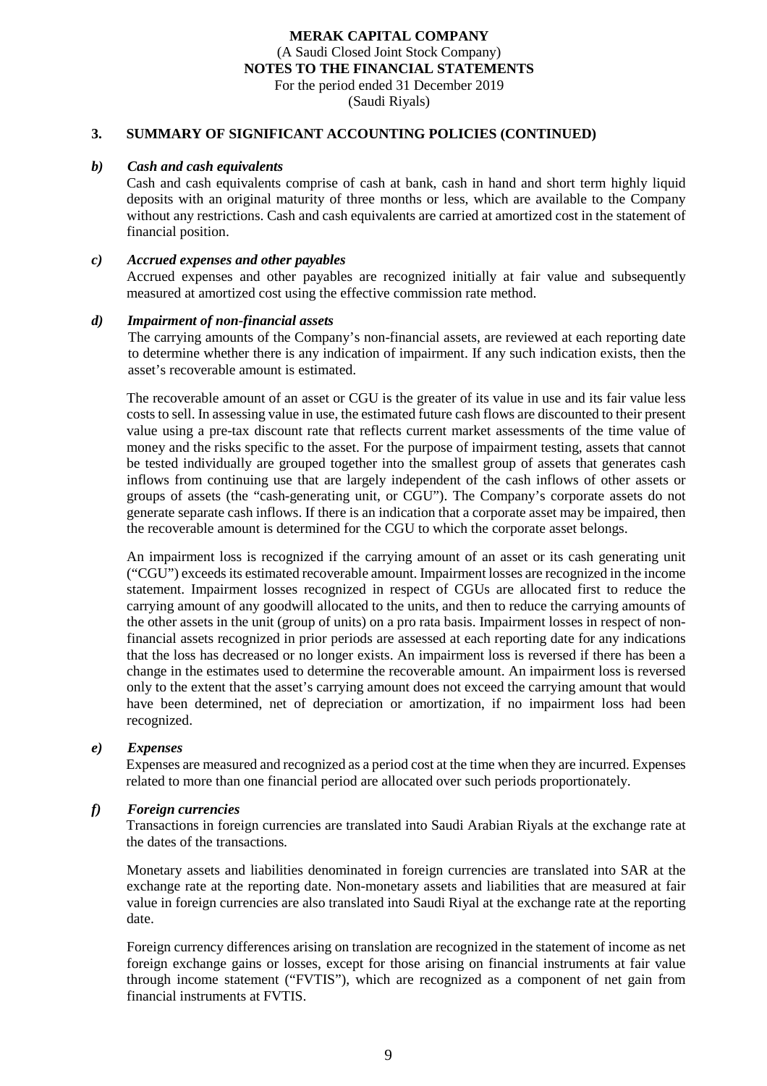For the period ended 31 December 2019

(Saudi Riyals)

# **3. SUMMARY OF SIGNIFICANT ACCOUNTING POLICIES (CONTINUED)**

#### *b) Cash and cash equivalents*

Cash and cash equivalents comprise of cash at bank, cash in hand and short term highly liquid deposits with an original maturity of three months or less, which are available to the Company without any restrictions. Cash and cash equivalents are carried at amortized cost in the statement of financial position.

#### *c) Accrued expenses and other payables*

Accrued expenses and other payables are recognized initially at fair value and subsequently measured at amortized cost using the effective commission rate method.

#### *d) Impairment of non-financial assets*

The carrying amounts of the Company's non-financial assets, are reviewed at each reporting date to determine whether there is any indication of impairment. If any such indication exists, then the asset's recoverable amount is estimated.

The recoverable amount of an asset or CGU is the greater of its value in use and its fair value less costs to sell. In assessing value in use, the estimated future cash flows are discounted to their present value using a pre-tax discount rate that reflects current market assessments of the time value of money and the risks specific to the asset. For the purpose of impairment testing, assets that cannot be tested individually are grouped together into the smallest group of assets that generates cash inflows from continuing use that are largely independent of the cash inflows of other assets or groups of assets (the "cash-generating unit, or CGU"). The Company's corporate assets do not generate separate cash inflows. If there is an indication that a corporate asset may be impaired, then the recoverable amount is determined for the CGU to which the corporate asset belongs.

An impairment loss is recognized if the carrying amount of an asset or its cash generating unit ("CGU") exceeds its estimated recoverable amount. Impairment losses are recognized in the income statement. Impairment losses recognized in respect of CGUs are allocated first to reduce the carrying amount of any goodwill allocated to the units, and then to reduce the carrying amounts of the other assets in the unit (group of units) on a pro rata basis. Impairment losses in respect of nonfinancial assets recognized in prior periods are assessed at each reporting date for any indications that the loss has decreased or no longer exists. An impairment loss is reversed if there has been a change in the estimates used to determine the recoverable amount. An impairment loss is reversed only to the extent that the asset's carrying amount does not exceed the carrying amount that would have been determined, net of depreciation or amortization, if no impairment loss had been recognized.

#### *e) Expenses*

Expenses are measured and recognized as a period cost at the time when they are incurred. Expenses related to more than one financial period are allocated over such periods proportionately.

#### *f) Foreign currencies*

Transactions in foreign currencies are translated into Saudi Arabian Riyals at the exchange rate at the dates of the transactions.

Monetary assets and liabilities denominated in foreign currencies are translated into SAR at the exchange rate at the reporting date. Non-monetary assets and liabilities that are measured at fair value in foreign currencies are also translated into Saudi Riyal at the exchange rate at the reporting date.

Foreign currency differences arising on translation are recognized in the statement of income as net foreign exchange gains or losses, except for those arising on financial instruments at fair value through income statement ("FVTIS"), which are recognized as a component of net gain from financial instruments at FVTIS.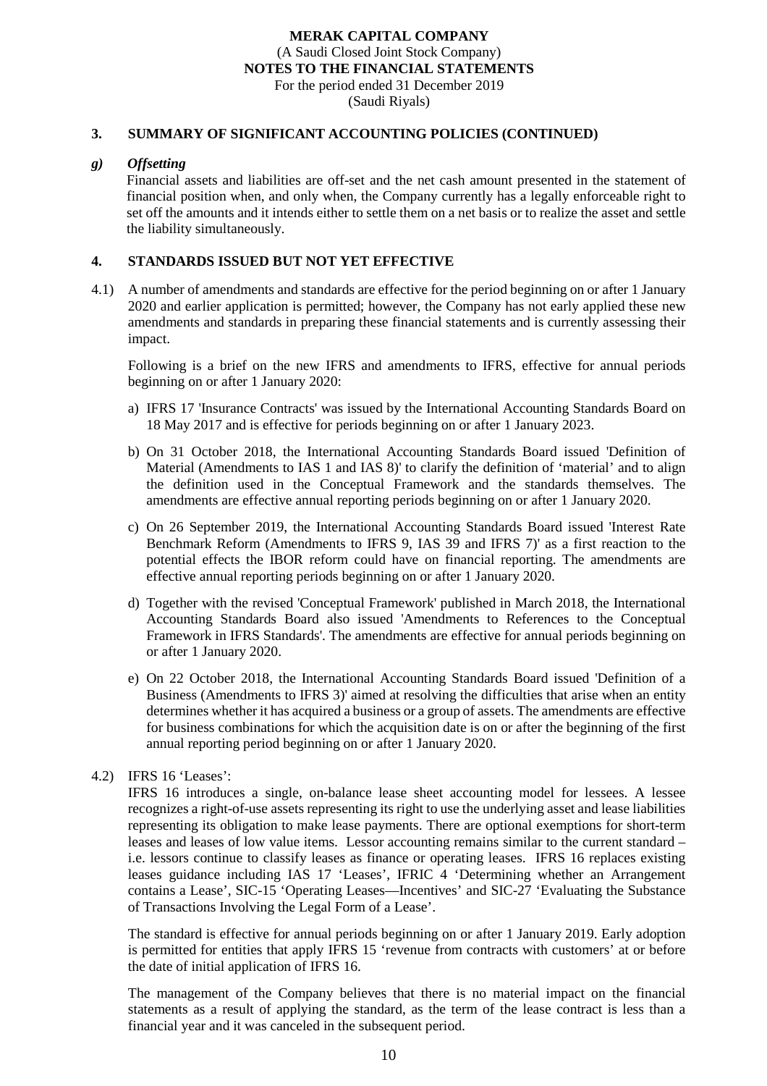For the period ended 31 December 2019 (Saudi Riyals)

#### **3. SUMMARY OF SIGNIFICANT ACCOUNTING POLICIES (CONTINUED)**

#### *g) Offsetting*

Financial assets and liabilities are off-set and the net cash amount presented in the statement of financial position when, and only when, the Company currently has a legally enforceable right to set off the amounts and it intends either to settle them on a net basis or to realize the asset and settle the liability simultaneously.

#### **4. STANDARDS ISSUED BUT NOT YET EFFECTIVE**

4.1) A number of amendments and standards are effective for the period beginning on or after 1 January 2020 and earlier application is permitted; however, the Company has not early applied these new amendments and standards in preparing these financial statements and is currently assessing their impact.

Following is a brief on the new IFRS and amendments to IFRS, effective for annual periods beginning on or after 1 January 2020:

- a) IFRS 17 'Insurance Contracts' was issued by the International Accounting Standards Board on 18 May 2017 and is effective for periods beginning on or after 1 January 2023.
- b) On 31 October 2018, the International Accounting Standards Board issued 'Definition of Material (Amendments to IAS 1 and IAS 8)' to clarify the definition of 'material' and to align the definition used in the Conceptual Framework and the standards themselves. The amendments are effective annual reporting periods beginning on or after 1 January 2020.
- c) On 26 September 2019, the International Accounting Standards Board issued 'Interest Rate Benchmark Reform (Amendments to IFRS 9, IAS 39 and IFRS 7)' as a first reaction to the potential effects the IBOR reform could have on financial reporting. The amendments are effective annual reporting periods beginning on or after 1 January 2020.
- d) Together with the revised 'Conceptual Framework' published in March 2018, the International Accounting Standards Board also issued 'Amendments to References to the Conceptual Framework in IFRS Standards'. The amendments are effective for annual periods beginning on or after 1 January 2020.
- e) On 22 October 2018, the International Accounting Standards Board issued 'Definition of a Business (Amendments to IFRS 3)' aimed at resolving the difficulties that arise when an entity determines whether it has acquired a business or a group of assets. The amendments are effective for business combinations for which the acquisition date is on or after the beginning of the first annual reporting period beginning on or after 1 January 2020.
- 4.2) IFRS 16 'Leases':

IFRS 16 introduces a single, on-balance lease sheet accounting model for lessees. A lessee recognizes a right-of-use assets representing its right to use the underlying asset and lease liabilities representing its obligation to make lease payments. There are optional exemptions for short-term leases and leases of low value items. Lessor accounting remains similar to the current standard – i.e. lessors continue to classify leases as finance or operating leases. IFRS 16 replaces existing leases guidance including IAS 17 'Leases', IFRIC 4 'Determining whether an Arrangement contains a Lease', SIC-15 'Operating Leases—Incentives' and SIC-27 'Evaluating the Substance of Transactions Involving the Legal Form of a Lease'.

The standard is effective for annual periods beginning on or after 1 January 2019. Early adoption is permitted for entities that apply IFRS 15 'revenue from contracts with customers' at or before the date of initial application of IFRS 16.

The management of the Company believes that there is no material impact on the financial statements as a result of applying the standard, as the term of the lease contract is less than a financial year and it was canceled in the subsequent period.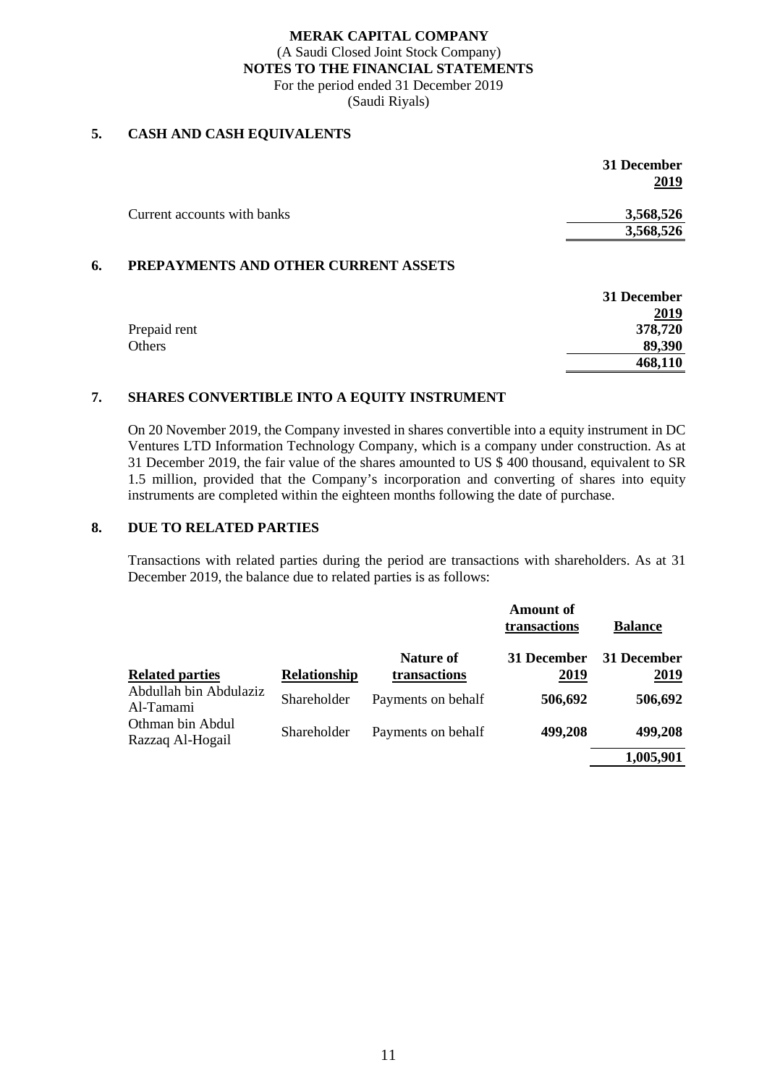(Saudi Riyals)

## **5. CASH AND CASH EQUIVALENTS**

|                             | 31 December<br>2019 |
|-----------------------------|---------------------|
| Current accounts with banks | 3,568,526           |
|                             | 3,568,526           |
|                             |                     |

# **6. PREPAYMENTS AND OTHER CURRENT ASSETS**

|              | 31 December |
|--------------|-------------|
|              | <u>2019</u> |
| Prepaid rent | 378,720     |
| Others       | 89,390      |
|              | 468,110     |

# **7. SHARES CONVERTIBLE INTO A EQUITY INSTRUMENT**

On 20 November 2019, the Company invested in shares convertible into a equity instrument in DC Ventures LTD Information Technology Company, which is a company under construction. As at 31 December 2019, the fair value of the shares amounted to US \$ 400 thousand, equivalent to SR 1.5 million, provided that the Company's incorporation and converting of shares into equity instruments are completed within the eighteen months following the date of purchase.

#### **8. DUE TO RELATED PARTIES**

Transactions with related parties during the period are transactions with shareholders. As at 31 December 2019, the balance due to related parties is as follows:

|                                      |              |                           | Amount of<br>transactions | <b>Balance</b>      |
|--------------------------------------|--------------|---------------------------|---------------------------|---------------------|
| <b>Related parties</b>               | Relationship | Nature of<br>transactions | 31 December<br>2019       | 31 December<br>2019 |
| Abdullah bin Abdulaziz<br>Al-Tamami  | Shareholder  | Payments on behalf        | 506,692                   | 506,692             |
| Othman bin Abdul<br>Razzaq Al-Hogail | Shareholder  | Payments on behalf        | 499,208                   | 499,208             |
|                                      |              |                           |                           | 1,005,901           |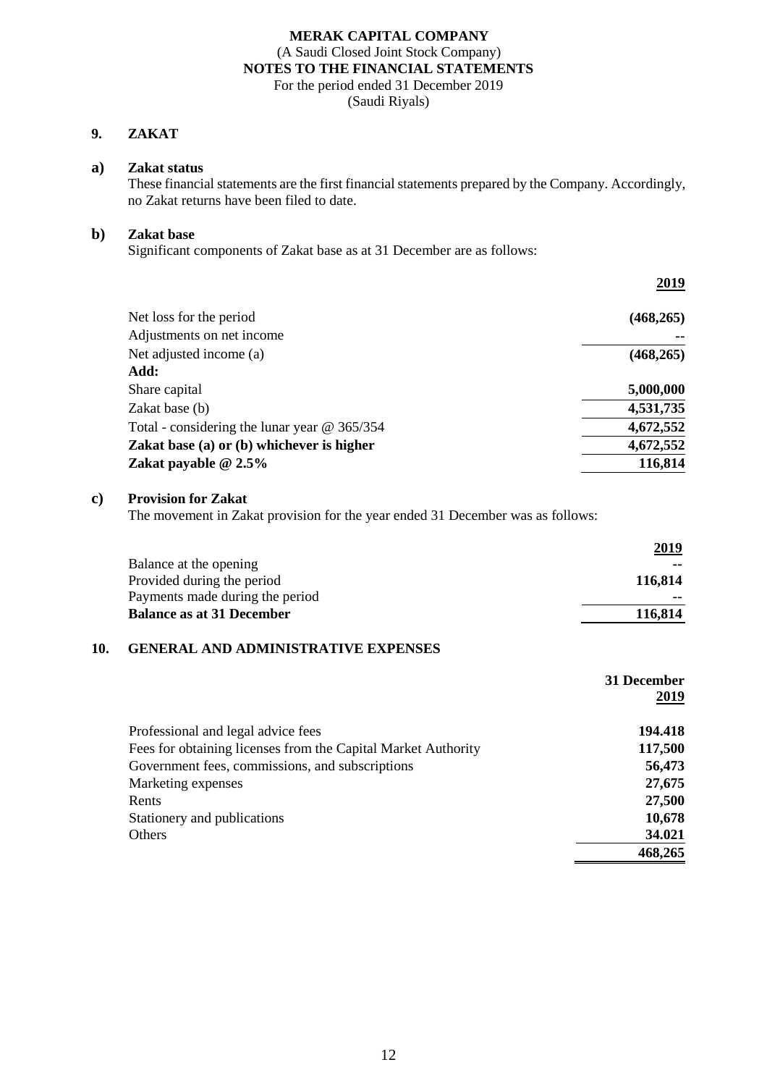(Saudi Riyals)

# **9. ZAKAT**

# **a) Zakat status**

These financial statements are the first financial statements prepared by the Company. Accordingly, no Zakat returns have been filed to date.

## **b) Zakat base**

Significant components of Zakat base as at 31 December are as follows:

|                                                | 2019       |
|------------------------------------------------|------------|
| Net loss for the period                        | (468, 265) |
| Adjustments on net income                      |            |
| Net adjusted income (a)                        | (468, 265) |
| Add:                                           |            |
| Share capital                                  | 5,000,000  |
| Zakat base (b)                                 | 4,531,735  |
| Total - considering the lunar year $@$ 365/354 | 4,672,552  |
| Zakat base (a) or (b) whichever is higher      | 4,672,552  |
| Zakat payable $@ 2.5\%$                        | 116,814    |

## **c) Provision for Zakat**

The movement in Zakat provision for the year ended 31 December was as follows:

|                                  | <u> 2019 </u> |
|----------------------------------|---------------|
| Balance at the opening           | --            |
| Provided during the period       | 116,814       |
| Payments made during the period  | --            |
| <b>Balance as at 31 December</b> | 116.814       |
|                                  |               |

# **10. GENERAL AND ADMINISTRATIVE EXPENSES**

|                                                               | 31 December |
|---------------------------------------------------------------|-------------|
|                                                               | 2019        |
| Professional and legal advice fees                            | 194.418     |
| Fees for obtaining licenses from the Capital Market Authority | 117,500     |
| Government fees, commissions, and subscriptions               | 56,473      |
| Marketing expenses                                            | 27,675      |
| Rents                                                         | 27,500      |
| Stationery and publications                                   | 10,678      |
| Others                                                        | 34.021      |
|                                                               | 468,265     |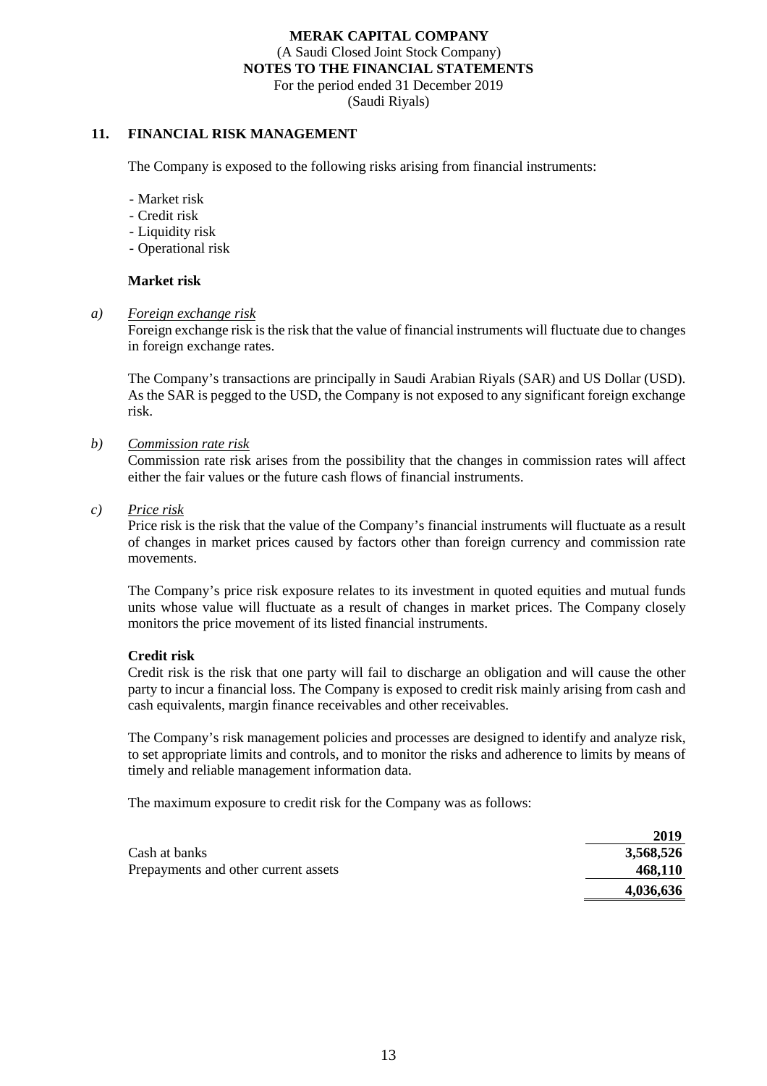(Saudi Riyals)

## **11. FINANCIAL RISK MANAGEMENT**

The Company is exposed to the following risks arising from financial instruments:

- Market risk
- Credit risk
- Liquidity risk
- Operational risk

#### **Market risk**

#### *a) Foreign exchange risk*

Foreign exchange risk is the risk that the value of financial instruments will fluctuate due to changes in foreign exchange rates.

The Company's transactions are principally in Saudi Arabian Riyals (SAR) and US Dollar (USD). As the SAR is pegged to the USD, the Company is not exposed to any significant foreign exchange risk.

*b) Commission rate risk*

Commission rate risk arises from the possibility that the changes in commission rates will affect either the fair values or the future cash flows of financial instruments.

*c) Price risk*

Price risk is the risk that the value of the Company's financial instruments will fluctuate as a result of changes in market prices caused by factors other than foreign currency and commission rate movements.

The Company's price risk exposure relates to its investment in quoted equities and mutual funds units whose value will fluctuate as a result of changes in market prices. The Company closely monitors the price movement of its listed financial instruments.

#### **Credit risk**

Credit risk is the risk that one party will fail to discharge an obligation and will cause the other party to incur a financial loss. The Company is exposed to credit risk mainly arising from cash and cash equivalents, margin finance receivables and other receivables.

The Company's risk management policies and processes are designed to identify and analyze risk, to set appropriate limits and controls, and to monitor the risks and adherence to limits by means of timely and reliable management information data.

The maximum exposure to credit risk for the Company was as follows:

|                                      | 2019      |
|--------------------------------------|-----------|
| Cash at banks                        | 3,568,526 |
| Prepayments and other current assets | 468,110   |
|                                      | 4,036,636 |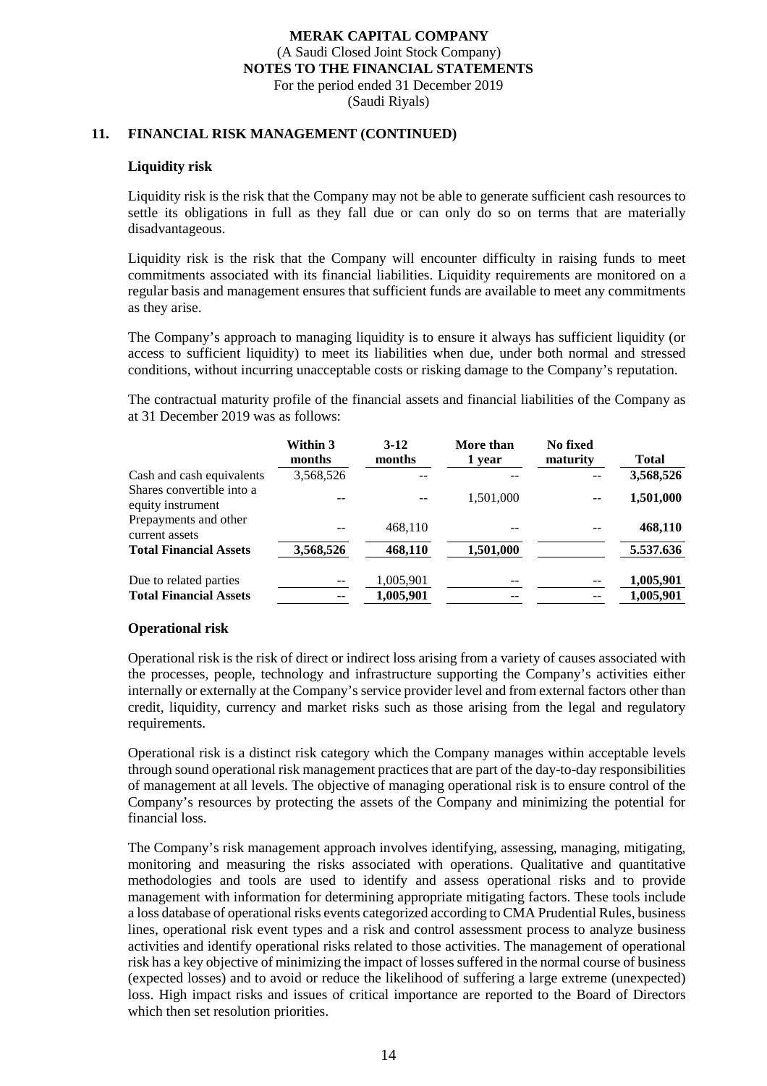For the period ended 31 December 2019

# (Saudi Riyals)

## **11. FINANCIAL RISK MANAGEMENT (CONTINUED)**

#### **Liquidity risk**

Liquidity risk is the risk that the Company may not be able to generate sufficient cash resources to settle its obligations in full as they fall due or can only do so on terms that are materially disadvantageous.

Liquidity risk is the risk that the Company will encounter difficulty in raising funds to meet commitments associated with its financial liabilities. Liquidity requirements are monitored on a regular basis and management ensures that sufficient funds are available to meet any commitments as they arise.

The Company's approach to managing liquidity is to ensure it always has sufficient liquidity (or access to sufficient liquidity) to meet its liabilities when due, under both normal and stressed conditions, without incurring unacceptable costs or risking damage to the Company's reputation.

The contractual maturity profile of the financial assets and financial liabilities of the Company as at 31 December 2019 was as follows:

|                                                | Within 3<br>months | $3-12$<br>months | More than<br>1 year | No fixed<br>maturity | Total     |
|------------------------------------------------|--------------------|------------------|---------------------|----------------------|-----------|
| Cash and cash equivalents                      | 3,568,526          |                  |                     |                      | 3,568,526 |
| Shares convertible into a<br>equity instrument |                    |                  | 1,501,000           |                      | 1,501,000 |
| Prepayments and other<br>current assets        |                    | 468.110          |                     |                      | 468,110   |
| <b>Total Financial Assets</b>                  | 3,568,526          | 468,110          | 1,501,000           |                      | 5.537.636 |
| Due to related parties                         | $- -$              | 1,005,901        |                     |                      | 1,005,901 |
| <b>Total Financial Assets</b>                  | $\sim$             | 1,005,901        |                     |                      | 1,005,901 |

#### **Operational risk**

Operational risk is the risk of direct or indirect loss arising from a variety of causes associated with the processes, people, technology and infrastructure supporting the Company's activities either internally or externally at the Company's service provider level and from external factors other than credit, liquidity, currency and market risks such as those arising from the legal and regulatory requirements.

Operational risk is a distinct risk category which the Company manages within acceptable levels through sound operational risk management practices that are part of the day-to-day responsibilities of management at all levels. The objective of managing operational risk is to ensure control of the Company's resources by protecting the assets of the Company and minimizing the potential for financial loss.

The Company's risk management approach involves identifying, assessing, managing, mitigating, monitoring and measuring the risks associated with operations. Qualitative and quantitative methodologies and tools are used to identify and assess operational risks and to provide management with information for determining appropriate mitigating factors. These tools include a loss database of operational risks events categorized according to CMA Prudential Rules, business lines, operational risk event types and a risk and control assessment process to analyze business activities and identify operational risks related to those activities. The management of operational risk has a key objective of minimizing the impact of losses suffered in the normal course of business (expected losses) and to avoid or reduce the likelihood of suffering a large extreme (unexpected) loss. High impact risks and issues of critical importance are reported to the Board of Directors which then set resolution priorities.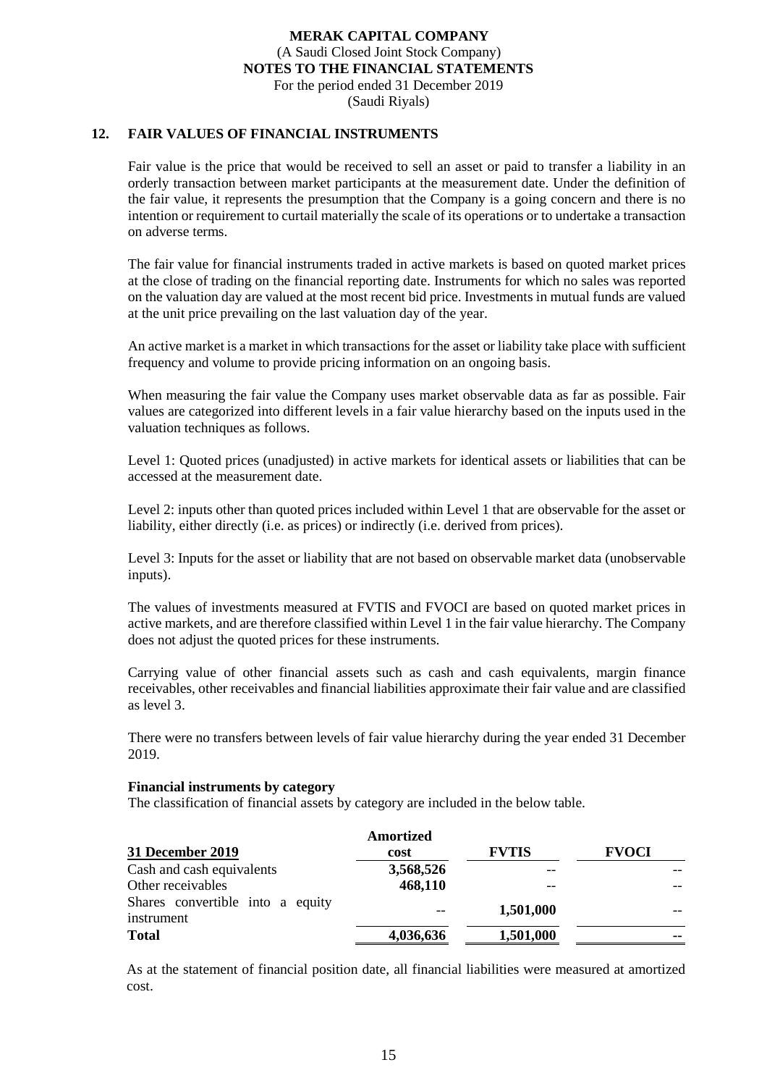For the period ended 31 December 2019 (Saudi Riyals)

### **12. FAIR VALUES OF FINANCIAL INSTRUMENTS**

Fair value is the price that would be received to sell an asset or paid to transfer a liability in an orderly transaction between market participants at the measurement date. Under the definition of the fair value, it represents the presumption that the Company is a going concern and there is no intention or requirement to curtail materially the scale of its operations or to undertake a transaction on adverse terms.

The fair value for financial instruments traded in active markets is based on quoted market prices at the close of trading on the financial reporting date. Instruments for which no sales was reported on the valuation day are valued at the most recent bid price. Investments in mutual funds are valued at the unit price prevailing on the last valuation day of the year.

An active market is a market in which transactions for the asset or liability take place with sufficient frequency and volume to provide pricing information on an ongoing basis.

When measuring the fair value the Company uses market observable data as far as possible. Fair values are categorized into different levels in a fair value hierarchy based on the inputs used in the valuation techniques as follows.

Level 1: Quoted prices (unadjusted) in active markets for identical assets or liabilities that can be accessed at the measurement date.

Level 2: inputs other than quoted prices included within Level 1 that are observable for the asset or liability, either directly (i.e. as prices) or indirectly (i.e. derived from prices).

Level 3: Inputs for the asset or liability that are not based on observable market data (unobservable inputs).

The values of investments measured at FVTIS and FVOCI are based on quoted market prices in active markets, and are therefore classified within Level 1 in the fair value hierarchy. The Company does not adjust the quoted prices for these instruments.

Carrying value of other financial assets such as cash and cash equivalents, margin finance receivables, other receivables and financial liabilities approximate their fair value and are classified as level 3.

There were no transfers between levels of fair value hierarchy during the year ended 31 December 2019.

#### **Financial instruments by category**

The classification of financial assets by category are included in the below table.

|                                                | Amortized |              |              |
|------------------------------------------------|-----------|--------------|--------------|
| 31 December 2019                               | cost      | <b>FVTIS</b> | <b>FVOCI</b> |
| Cash and cash equivalents                      | 3,568,526 |              |              |
| Other receivables                              | 468,110   | $- -$        |              |
| Shares convertible into a equity<br>instrument |           | 1,501,000    |              |
| <b>Total</b>                                   | 4,036,636 | 1,501,000    |              |

As at the statement of financial position date, all financial liabilities were measured at amortized cost.